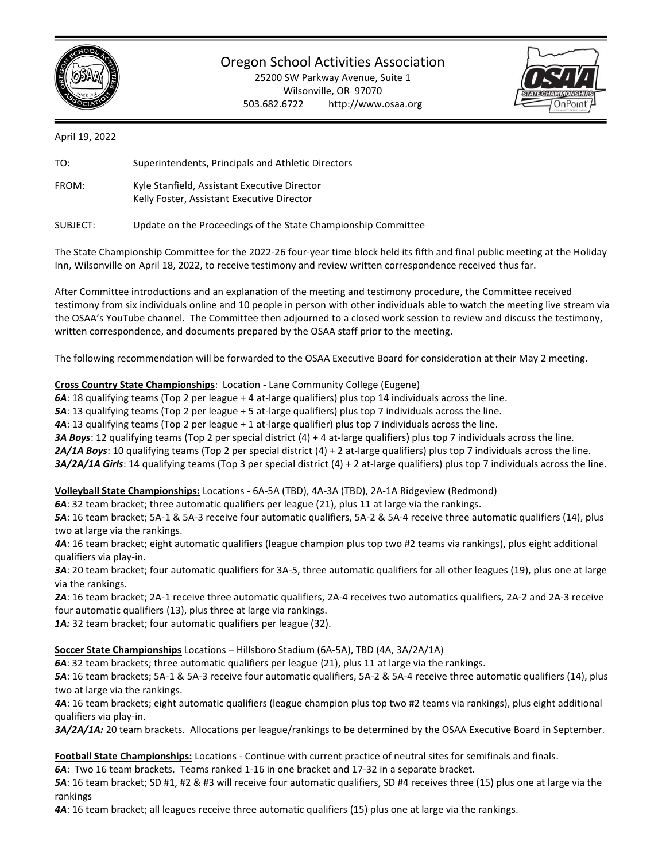

Oregon School Activities Association

25200 SW Parkway Avenue, Suite 1 Wilsonville, OR 97070 503.682.6722 http://www.osaa.org



April 19, 2022

TO: Superintendents, Principals and Athletic Directors

FROM: Kyle Stanfield, Assistant Executive Director Kelly Foster, Assistant Executive Director

SUBJECT: Update on the Proceedings of the State Championship Committee

The State Championship Committee for the 2022-26 four-year time block held its fifth and final public meeting at the Holiday Inn, Wilsonville on April 18, 2022, to receive testimony and review written correspondence received thus far.

After Committee introductions and an explanation of the meeting and testimony procedure, the Committee received testimony from six individuals online and 10 people in person with other individuals able to watch the meeting live stream via the OSAA's YouTube channel. The Committee then adjourned to a closed work session to review and discuss the testimony, written correspondence, and documents prepared by the OSAA staff prior to the meeting.

The following recommendation will be forwarded to the OSAA Executive Board for consideration at their May 2 meeting.

**Cross Country State Championships**: Location - Lane Community College (Eugene)

*6A*: 18 qualifying teams (Top 2 per league + 4 at-large qualifiers) plus top 14 individuals across the line.

*5A*: 13 qualifying teams (Top 2 per league + 5 at-large qualifiers) plus top 7 individuals across the line.

*4A*: 13 qualifying teams (Top 2 per league + 1 at-large qualifier) plus top 7 individuals across the line.

*3A Boys*: 12 qualifying teams (Top 2 per special district (4) + 4 at-large qualifiers) plus top 7 individuals across the line.

*2A/1A Boys*: 10 qualifying teams (Top 2 per special district (4) + 2 at-large qualifiers) plus top 7 individuals across the line.

*3A/2A/1A Girls*: 14 qualifying teams (Top 3 per special district (4) + 2 at-large qualifiers) plus top 7 individuals across the line.

**Volleyball State Championships:** Locations - 6A-5A (TBD), 4A-3A (TBD), 2A-1A Ridgeview (Redmond)

*6A*: 32 team bracket; three automatic qualifiers per league (21), plus 11 at large via the rankings.

*5A*: 16 team bracket; 5A-1 & 5A-3 receive four automatic qualifiers, 5A-2 & 5A-4 receive three automatic qualifiers (14), plus two at large via the rankings.

*4A*: 16 team bracket; eight automatic qualifiers (league champion plus top two #2 teams via rankings), plus eight additional qualifiers via play-in.

*3A*: 20 team bracket; four automatic qualifiers for 3A-5, three automatic qualifiers for all other leagues (19), plus one at large via the rankings.

*2A*: 16 team bracket; 2A-1 receive three automatic qualifiers, 2A-4 receives two automatics qualifiers, 2A-2 and 2A-3 receive four automatic qualifiers (13), plus three at large via rankings.

1A: 32 team bracket; four automatic qualifiers per league (32).

**Soccer State Championships** Locations – Hillsboro Stadium (6A-5A), TBD (4A, 3A/2A/1A)

*6A*: 32 team brackets; three automatic qualifiers per league (21), plus 11 at large via the rankings.

*5A*: 16 team brackets; 5A-1 & 5A-3 receive four automatic qualifiers, 5A-2 & 5A-4 receive three automatic qualifiers (14), plus two at large via the rankings.

*4A*: 16 team brackets; eight automatic qualifiers (league champion plus top two #2 teams via rankings), plus eight additional qualifiers via play-in.

*3A/2A/1A:* 20 team brackets. Allocations per league/rankings to be determined by the OSAA Executive Board in September.

**Football State Championships:** Locations - Continue with current practice of neutral sites for semifinals and finals.

*6A*: Two 16 team brackets. Teams ranked 1-16 in one bracket and 17-32 in a separate bracket.

*5A*: 16 team bracket; SD #1, #2 & #3 will receive four automatic qualifiers, SD #4 receives three (15) plus one at large via the rankings

*4A*: 16 team bracket; all leagues receive three automatic qualifiers (15) plus one at large via the rankings.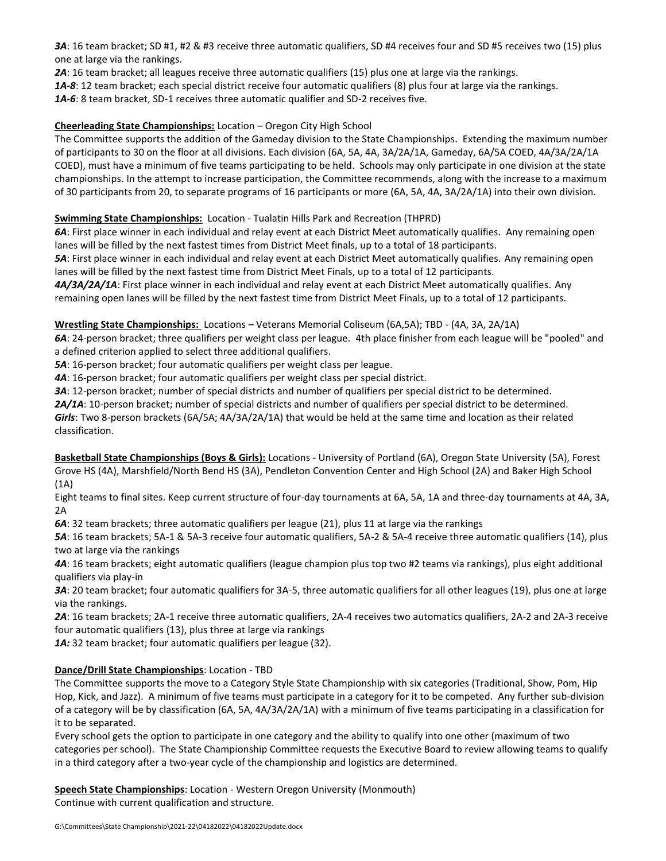*3A*: 16 team bracket; SD #1, #2 & #3 receive three automatic qualifiers, SD #4 receives four and SD #5 receives two (15) plus one at large via the rankings.

*2A*: 16 team bracket; all leagues receive three automatic qualifiers (15) plus one at large via the rankings.

*1A-8*: 12 team bracket; each special district receive four automatic qualifiers (8) plus four at large via the rankings.

*1A-6*: 8 team bracket, SD-1 receives three automatic qualifier and SD-2 receives five.

## **Cheerleading State Championships:** Location – Oregon City High School

The Committee supports the addition of the Gameday division to the State Championships. Extending the maximum number of participants to 30 on the floor at all divisions. Each division (6A, 5A, 4A, 3A/2A/1A, Gameday, 6A/5A COED, 4A/3A/2A/1A COED), must have a minimum of five teams participating to be held. Schools may only participate in one division at the state championships. In the attempt to increase participation, the Committee recommends, along with the increase to a maximum of 30 participants from 20, to separate programs of 16 participants or more (6A, 5A, 4A, 3A/2A/1A) into their own division.

# **Swimming State Championships:** Location - Tualatin Hills Park and Recreation (THPRD)

*6A*: First place winner in each individual and relay event at each District Meet automatically qualifies. Any remaining open lanes will be filled by the next fastest times from District Meet finals, up to a total of 18 participants.

*5A*: First place winner in each individual and relay event at each District Meet automatically qualifies. Any remaining open lanes will be filled by the next fastest time from District Meet Finals, up to a total of 12 participants.

*4A/3A/2A/1A*: First place winner in each individual and relay event at each District Meet automatically qualifies. Any remaining open lanes will be filled by the next fastest time from District Meet Finals, up to a total of 12 participants.

### **Wrestling State Championships:** Locations – Veterans Memorial Coliseum (6A,5A); TBD - (4A, 3A, 2A/1A)

*6A*: 24-person bracket; three qualifiers per weight class per league. 4th place finisher from each league will be "pooled" and a defined criterion applied to select three additional qualifiers.

*5A*: 16-person bracket; four automatic qualifiers per weight class per league.

*4A*: 16-person bracket; four automatic qualifiers per weight class per special district.

*3A*: 12-person bracket; number of special districts and number of qualifiers per special district to be determined.

*2A/1A*: 10-person bracket; number of special districts and number of qualifiers per special district to be determined. *Girls*: Two 8-person brackets (6A/5A; 4A/3A/2A/1A) that would be held at the same time and location as their related classification.

**Basketball State Championships (Boys & Girls):** Locations - University of Portland (6A), Oregon State University (5A), Forest Grove HS (4A), Marshfield/North Bend HS (3A), Pendleton Convention Center and High School (2A) and Baker High School (1A)

Eight teams to final sites. Keep current structure of four-day tournaments at 6A, 5A, 1A and three-day tournaments at 4A, 3A, 2A

*6A*: 32 team brackets; three automatic qualifiers per league (21), plus 11 at large via the rankings

*5A*: 16 team brackets; 5A-1 & 5A-3 receive four automatic qualifiers, 5A-2 & 5A-4 receive three automatic qualifiers (14), plus two at large via the rankings

*4A*: 16 team brackets; eight automatic qualifiers (league champion plus top two #2 teams via rankings), plus eight additional qualifiers via play-in

*3A*: 20 team bracket; four automatic qualifiers for 3A-5, three automatic qualifiers for all other leagues (19), plus one at large via the rankings.

*2A*: 16 team brackets; 2A-1 receive three automatic qualifiers, 2A-4 receives two automatics qualifiers, 2A-2 and 2A-3 receive four automatic qualifiers (13), plus three at large via rankings

1A: 32 team bracket; four automatic qualifiers per league (32).

# **Dance/Drill State Championships**: Location - TBD

The Committee supports the move to a Category Style State Championship with six categories (Traditional, Show, Pom, Hip Hop, Kick, and Jazz). A minimum of five teams must participate in a category for it to be competed. Any further sub-division of a category will be by classification (6A, 5A, 4A/3A/2A/1A) with a minimum of five teams participating in a classification for it to be separated.

Every school gets the option to participate in one category and the ability to qualify into one other (maximum of two categories per school). The State Championship Committee requests the Executive Board to review allowing teams to qualify in a third category after a two-year cycle of the championship and logistics are determined.

**Speech State Championships**: Location - Western Oregon University (Monmouth) Continue with current qualification and structure.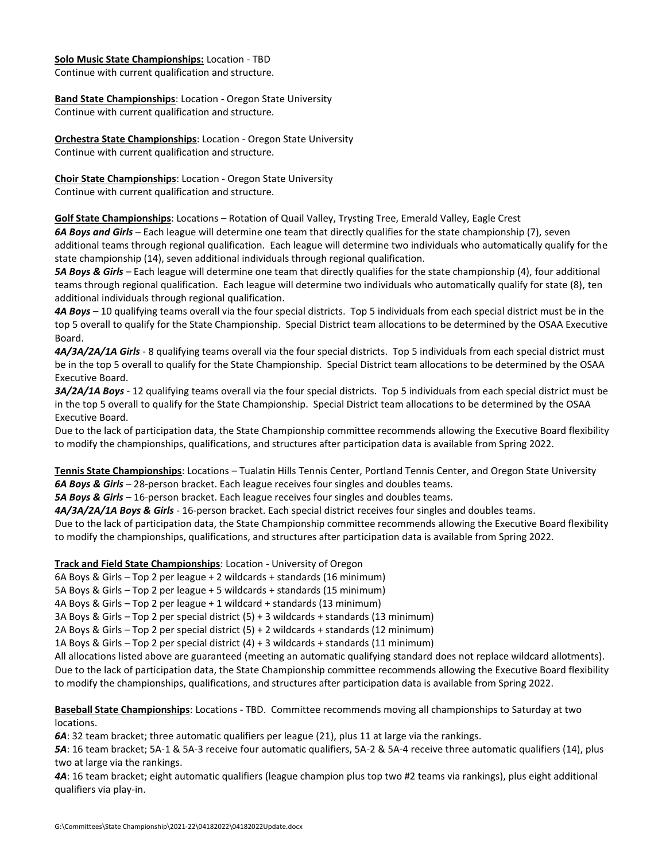#### **Solo Music State Championships:** Location - TBD

Continue with current qualification and structure.

**Band State Championships**: Location - Oregon State University Continue with current qualification and structure.

**Orchestra State Championships**: Location - Oregon State University Continue with current qualification and structure.

**Choir State Championships**: Location - Oregon State University Continue with current qualification and structure.

**Golf State Championships**: Locations – Rotation of Quail Valley, Trysting Tree, Emerald Valley, Eagle Crest

*6A Boys and Girls* – Each league will determine one team that directly qualifies for the state championship (7), seven additional teams through regional qualification. Each league will determine two individuals who automatically qualify for the state championship (14), seven additional individuals through regional qualification.

*5A Boys & Girls* – Each league will determine one team that directly qualifies for the state championship (4), four additional teams through regional qualification. Each league will determine two individuals who automatically qualify for state (8), ten additional individuals through regional qualification.

*4A Boys* – 10 qualifying teams overall via the four special districts. Top 5 individuals from each special district must be in the top 5 overall to qualify for the State Championship. Special District team allocations to be determined by the OSAA Executive Board.

*4A/3A/2A/1A Girls* - 8 qualifying teams overall via the four special districts. Top 5 individuals from each special district must be in the top 5 overall to qualify for the State Championship. Special District team allocations to be determined by the OSAA Executive Board.

*3A/2A/1A Boys* - 12 qualifying teams overall via the four special districts. Top 5 individuals from each special district must be in the top 5 overall to qualify for the State Championship. Special District team allocations to be determined by the OSAA Executive Board.

Due to the lack of participation data, the State Championship committee recommends allowing the Executive Board flexibility to modify the championships, qualifications, and structures after participation data is available from Spring 2022.

**Tennis State Championships**: Locations – Tualatin Hills Tennis Center, Portland Tennis Center, and Oregon State University *6A Boys & Girls* – 28-person bracket. Each league receives four singles and doubles teams.

*5A Boys & Girls* – 16-person bracket. Each league receives four singles and doubles teams.

*4A/3A/2A/1A Boys & Girls* - 16-person bracket. Each special district receives four singles and doubles teams.

Due to the lack of participation data, the State Championship committee recommends allowing the Executive Board flexibility to modify the championships, qualifications, and structures after participation data is available from Spring 2022.

**Track and Field State Championships**: Location - University of Oregon

6A Boys & Girls – Top 2 per league + 2 wildcards + standards (16 minimum)

5A Boys & Girls – Top 2 per league + 5 wildcards + standards (15 minimum)

4A Boys & Girls – Top 2 per league + 1 wildcard + standards (13 minimum)

3A Boys & Girls – Top 2 per special district (5) + 3 wildcards + standards (13 minimum)

2A Boys & Girls – Top 2 per special district (5) + 2 wildcards + standards (12 minimum)

1A Boys & Girls – Top 2 per special district (4) + 3 wildcards + standards (11 minimum)

All allocations listed above are guaranteed (meeting an automatic qualifying standard does not replace wildcard allotments). Due to the lack of participation data, the State Championship committee recommends allowing the Executive Board flexibility to modify the championships, qualifications, and structures after participation data is available from Spring 2022.

**Baseball State Championships**: Locations - TBD. Committee recommends moving all championships to Saturday at two locations.

*6A*: 32 team bracket; three automatic qualifiers per league (21), plus 11 at large via the rankings.

*5A*: 16 team bracket; 5A-1 & 5A-3 receive four automatic qualifiers, 5A-2 & 5A-4 receive three automatic qualifiers (14), plus two at large via the rankings.

*4A*: 16 team bracket; eight automatic qualifiers (league champion plus top two #2 teams via rankings), plus eight additional qualifiers via play-in.